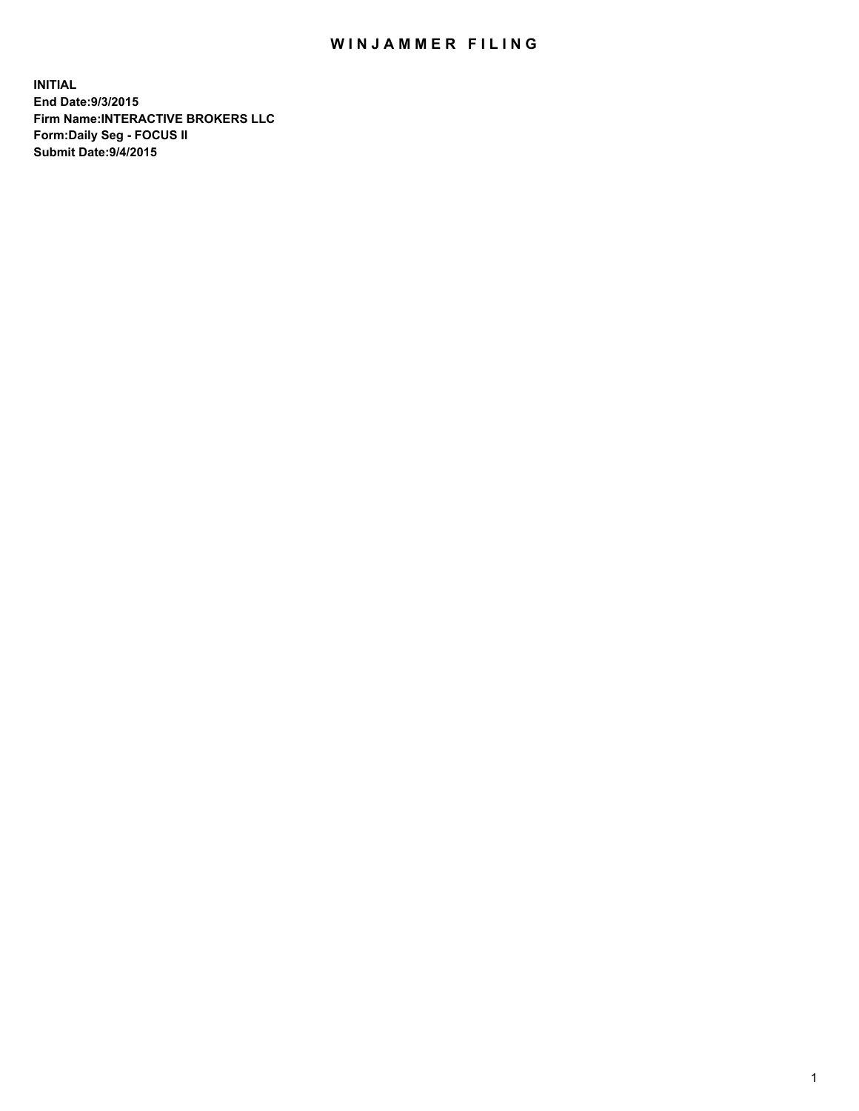## WIN JAMMER FILING

**INITIAL End Date:9/3/2015 Firm Name:INTERACTIVE BROKERS LLC Form:Daily Seg - FOCUS II Submit Date:9/4/2015**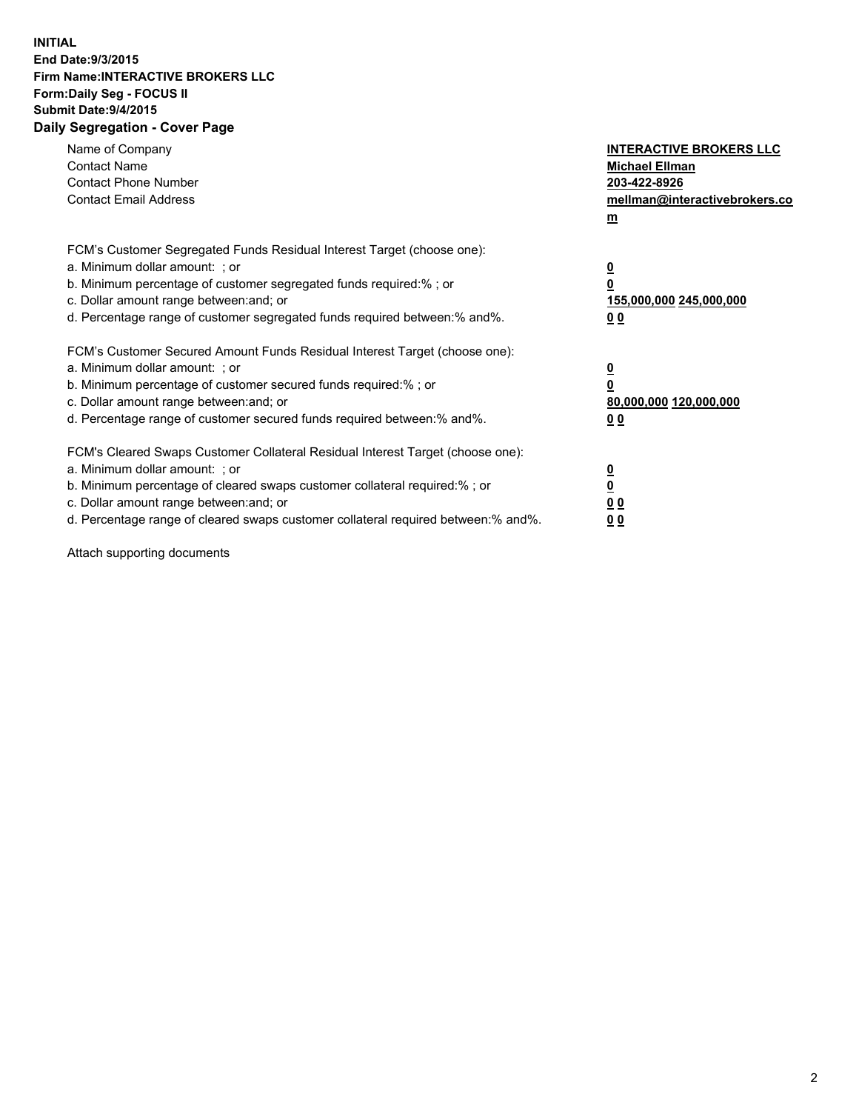## **INITIAL End Date:9/3/2015 Firm Name:INTERACTIVE BROKERS LLC Form:Daily Seg - FOCUS II Submit Date:9/4/2015 Daily Segregation - Cover Page**

| Name of Company<br><b>Contact Name</b><br><b>Contact Phone Number</b><br><b>Contact Email Address</b>                                                                                                                                                                                                                          | <b>INTERACTIVE BROKERS LLC</b><br><b>Michael Ellman</b><br>203-422-8926<br>mellman@interactivebrokers.co<br>$\mathbf{m}$ |
|--------------------------------------------------------------------------------------------------------------------------------------------------------------------------------------------------------------------------------------------------------------------------------------------------------------------------------|--------------------------------------------------------------------------------------------------------------------------|
| FCM's Customer Segregated Funds Residual Interest Target (choose one):<br>a. Minimum dollar amount: ; or<br>b. Minimum percentage of customer segregated funds required:% ; or<br>c. Dollar amount range between: and; or<br>d. Percentage range of customer segregated funds required between:% and%.                         | $\overline{\mathbf{0}}$<br>0<br>155,000,000 245,000,000<br>0 <sub>0</sub>                                                |
| FCM's Customer Secured Amount Funds Residual Interest Target (choose one):<br>a. Minimum dollar amount: ; or<br>b. Minimum percentage of customer secured funds required:%; or<br>c. Dollar amount range between: and; or<br>d. Percentage range of customer secured funds required between: % and %.                          | $\underline{\mathbf{0}}$<br>0<br>80,000,000 120,000,000<br>0 <sub>0</sub>                                                |
| FCM's Cleared Swaps Customer Collateral Residual Interest Target (choose one):<br>a. Minimum dollar amount: ; or<br>b. Minimum percentage of cleared swaps customer collateral required:% ; or<br>c. Dollar amount range between: and; or<br>d. Percentage range of cleared swaps customer collateral required between:% and%. | $\overline{\mathbf{0}}$<br>$\overline{\mathbf{0}}$<br>0 <sub>0</sub><br>0 <sup>0</sup>                                   |

Attach supporting documents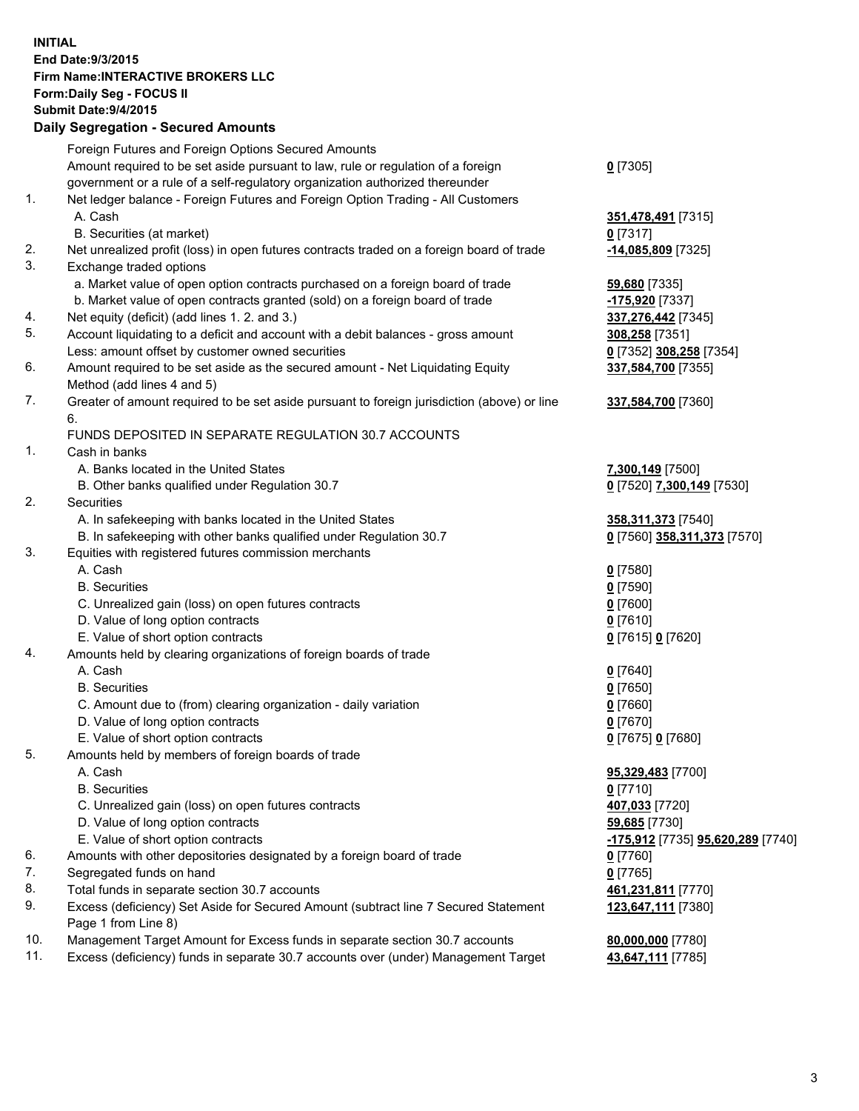## **INITIAL End Date:9/3/2015 Firm Name:INTERACTIVE BROKERS LLC Form:Daily Seg - FOCUS II Submit Date:9/4/2015 Daily Segregation - Secured Amounts**

|     | Foreign Futures and Foreign Options Secured Amounts                                         |                                   |
|-----|---------------------------------------------------------------------------------------------|-----------------------------------|
|     | Amount required to be set aside pursuant to law, rule or regulation of a foreign            | $0$ [7305]                        |
|     | government or a rule of a self-regulatory organization authorized thereunder                |                                   |
| 1.  | Net ledger balance - Foreign Futures and Foreign Option Trading - All Customers             |                                   |
|     | A. Cash                                                                                     | 351,478,491 [7315]                |
|     | B. Securities (at market)                                                                   | $0$ [7317]                        |
| 2.  | Net unrealized profit (loss) in open futures contracts traded on a foreign board of trade   | -14,085,809 [7325]                |
| 3.  | Exchange traded options                                                                     |                                   |
|     | a. Market value of open option contracts purchased on a foreign board of trade              | 59,680 [7335]                     |
|     | b. Market value of open contracts granted (sold) on a foreign board of trade                | -175,920 [7337]                   |
| 4.  | Net equity (deficit) (add lines 1.2. and 3.)                                                | 337,276,442 [7345]                |
| 5.  | Account liquidating to a deficit and account with a debit balances - gross amount           | 308,258 [7351]                    |
|     | Less: amount offset by customer owned securities                                            | 0 [7352] 308,258 [7354]           |
| 6.  |                                                                                             |                                   |
|     | Amount required to be set aside as the secured amount - Net Liquidating Equity              | 337,584,700 [7355]                |
|     | Method (add lines 4 and 5)                                                                  |                                   |
| 7.  | Greater of amount required to be set aside pursuant to foreign jurisdiction (above) or line | 337,584,700 [7360]                |
|     | 6.                                                                                          |                                   |
|     | FUNDS DEPOSITED IN SEPARATE REGULATION 30.7 ACCOUNTS                                        |                                   |
| 1.  | Cash in banks                                                                               |                                   |
|     | A. Banks located in the United States                                                       | 7,300,149 [7500]                  |
|     | B. Other banks qualified under Regulation 30.7                                              | 0 [7520] 7,300,149 [7530]         |
| 2.  | Securities                                                                                  |                                   |
|     | A. In safekeeping with banks located in the United States                                   | 358,311,373 [7540]                |
|     | B. In safekeeping with other banks qualified under Regulation 30.7                          | 0 [7560] 358,311,373 [7570]       |
| 3.  | Equities with registered futures commission merchants                                       |                                   |
|     | A. Cash                                                                                     | $0$ [7580]                        |
|     | <b>B.</b> Securities                                                                        | $0$ [7590]                        |
|     | C. Unrealized gain (loss) on open futures contracts                                         | $0$ [7600]                        |
|     | D. Value of long option contracts                                                           | $0$ [7610]                        |
|     | E. Value of short option contracts                                                          | 0 [7615] 0 [7620]                 |
| 4.  | Amounts held by clearing organizations of foreign boards of trade                           |                                   |
|     | A. Cash                                                                                     | $0$ [7640]                        |
|     | <b>B.</b> Securities                                                                        | $0$ [7650]                        |
|     | C. Amount due to (from) clearing organization - daily variation                             | $0$ [7660]                        |
|     | D. Value of long option contracts                                                           | $0$ [7670]                        |
|     | E. Value of short option contracts                                                          | 0 [7675] 0 [7680]                 |
| 5.  | Amounts held by members of foreign boards of trade                                          |                                   |
|     | A. Cash                                                                                     | 95,329,483 [7700]                 |
|     | <b>B.</b> Securities                                                                        | $0$ [7710]                        |
|     | C. Unrealized gain (loss) on open futures contracts                                         | 407,033 [7720]                    |
|     | D. Value of long option contracts                                                           | 59,685 [7730]                     |
|     | E. Value of short option contracts                                                          | -175,912 [7735] 95,620,289 [7740] |
| 6.  | Amounts with other depositories designated by a foreign board of trade                      | $0$ [7760]                        |
| 7.  | Segregated funds on hand                                                                    | $0$ [7765]                        |
| 8.  | Total funds in separate section 30.7 accounts                                               | 461,231,811 [7770]                |
| 9.  |                                                                                             | 123,647,111 [7380]                |
|     | Excess (deficiency) Set Aside for Secured Amount (subtract line 7 Secured Statement         |                                   |
|     | Page 1 from Line 8)                                                                         |                                   |
| 10. | Management Target Amount for Excess funds in separate section 30.7 accounts                 | 80,000,000 [7780]                 |
| 11. | Excess (deficiency) funds in separate 30.7 accounts over (under) Management Target          | 43,647,111 [7785]                 |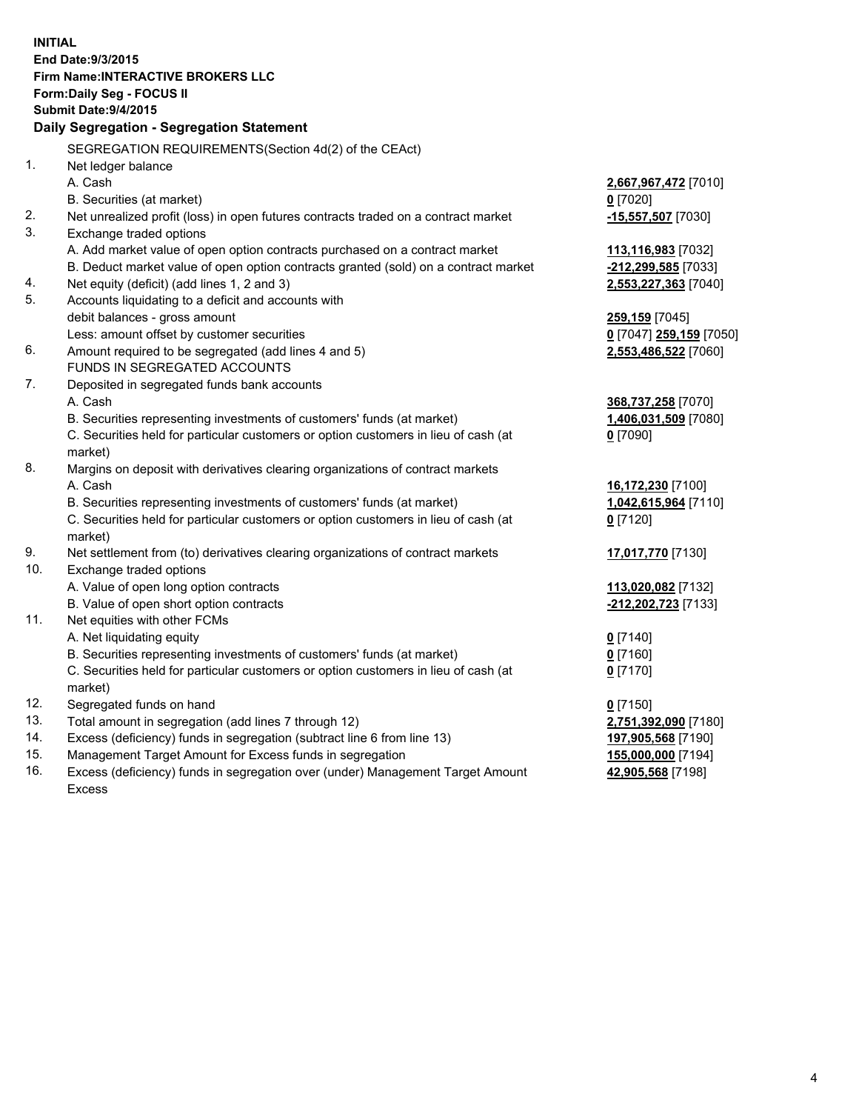**INITIAL End Date:9/3/2015 Firm Name:INTERACTIVE BROKERS LLC Form:Daily Seg - FOCUS II Submit Date:9/4/2015 Daily Segregation - Segregation Statement** SEGREGATION REQUIREMENTS(Section 4d(2) of the CEAct) 1. Net ledger balance A. Cash **2,667,967,472** [7010] B. Securities (at market) **0** [7020] 2. Net unrealized profit (loss) in open futures contracts traded on a contract market **-15,557,507** [7030] 3. Exchange traded options A. Add market value of open option contracts purchased on a contract market **113,116,983** [7032] B. Deduct market value of open option contracts granted (sold) on a contract market **-212,299,585** [7033] 4. Net equity (deficit) (add lines 1, 2 and 3) **2,553,227,363** [7040] 5. Accounts liquidating to a deficit and accounts with debit balances - gross amount **259,159** [7045] Less: amount offset by customer securities **0** [7047] **259,159** [7050] 6. Amount required to be segregated (add lines 4 and 5) **2,553,486,522** [7060] FUNDS IN SEGREGATED ACCOUNTS 7. Deposited in segregated funds bank accounts A. Cash **368,737,258** [7070] B. Securities representing investments of customers' funds (at market) **1,406,031,509** [7080] C. Securities held for particular customers or option customers in lieu of cash (at market) **0** [7090] 8. Margins on deposit with derivatives clearing organizations of contract markets A. Cash **16,172,230** [7100] B. Securities representing investments of customers' funds (at market) **1,042,615,964** [7110] C. Securities held for particular customers or option customers in lieu of cash (at market) **0** [7120] 9. Net settlement from (to) derivatives clearing organizations of contract markets **17,017,770** [7130] 10. Exchange traded options A. Value of open long option contracts **113,020,082** [7132] B. Value of open short option contracts **-212,202,723** [7133] 11. Net equities with other FCMs A. Net liquidating equity **0** [7140] B. Securities representing investments of customers' funds (at market) **0** [7160] C. Securities held for particular customers or option customers in lieu of cash (at market) **0** [7170] 12. Segregated funds on hand **0** [7150] 13. Total amount in segregation (add lines 7 through 12) **2,751,392,090** [7180] 14. Excess (deficiency) funds in segregation (subtract line 6 from line 13) **197,905,568** [7190] 15. Management Target Amount for Excess funds in segregation **155,000,000** [7194] **42,905,568** [7198]

16. Excess (deficiency) funds in segregation over (under) Management Target Amount Excess